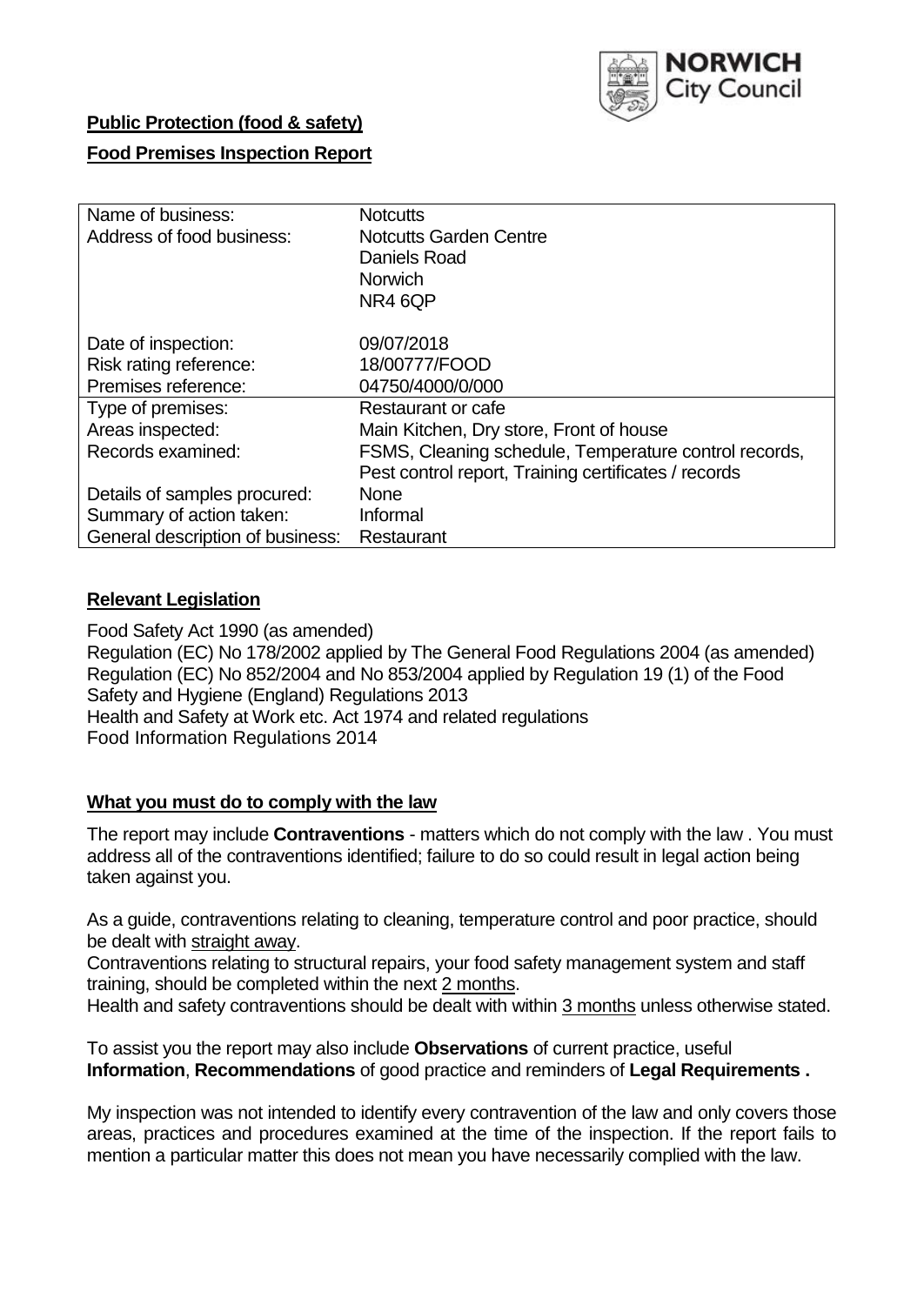

### **Public Protection (food & safety)**

### **Food Premises Inspection Report**

| Name of business:<br>Address of food business:                       | <b>Notcutts</b><br><b>Notcutts Garden Centre</b><br>Daniels Road<br><b>Norwich</b><br>NR4 6QP |
|----------------------------------------------------------------------|-----------------------------------------------------------------------------------------------|
| Date of inspection:<br>Risk rating reference:<br>Premises reference: | 09/07/2018<br>18/00777/FOOD<br>04750/4000/0/000                                               |
| Type of premises:                                                    | Restaurant or cafe                                                                            |
| Areas inspected:                                                     | Main Kitchen, Dry store, Front of house                                                       |
| Records examined:                                                    | FSMS, Cleaning schedule, Temperature control records,                                         |
|                                                                      | Pest control report, Training certificates / records                                          |
| Details of samples procured:                                         | <b>None</b>                                                                                   |
| Summary of action taken:                                             | Informal                                                                                      |
| General description of business:                                     | Restaurant                                                                                    |

#### **Relevant Legislation**

Food Safety Act 1990 (as amended) Regulation (EC) No 178/2002 applied by The General Food Regulations 2004 (as amended) Regulation (EC) No 852/2004 and No 853/2004 applied by Regulation 19 (1) of the Food Safety and Hygiene (England) Regulations 2013 Health and Safety at Work etc. Act 1974 and related regulations Food Information Regulations 2014

#### **What you must do to comply with the law**

The report may include **Contraventions** - matters which do not comply with the law . You must address all of the contraventions identified; failure to do so could result in legal action being taken against you.

As a guide, contraventions relating to cleaning, temperature control and poor practice, should be dealt with straight away.

Contraventions relating to structural repairs, your food safety management system and staff training, should be completed within the next 2 months.

Health and safety contraventions should be dealt with within 3 months unless otherwise stated.

To assist you the report may also include **Observations** of current practice, useful **Information**, **Recommendations** of good practice and reminders of **Legal Requirements .**

My inspection was not intended to identify every contravention of the law and only covers those areas, practices and procedures examined at the time of the inspection. If the report fails to mention a particular matter this does not mean you have necessarily complied with the law.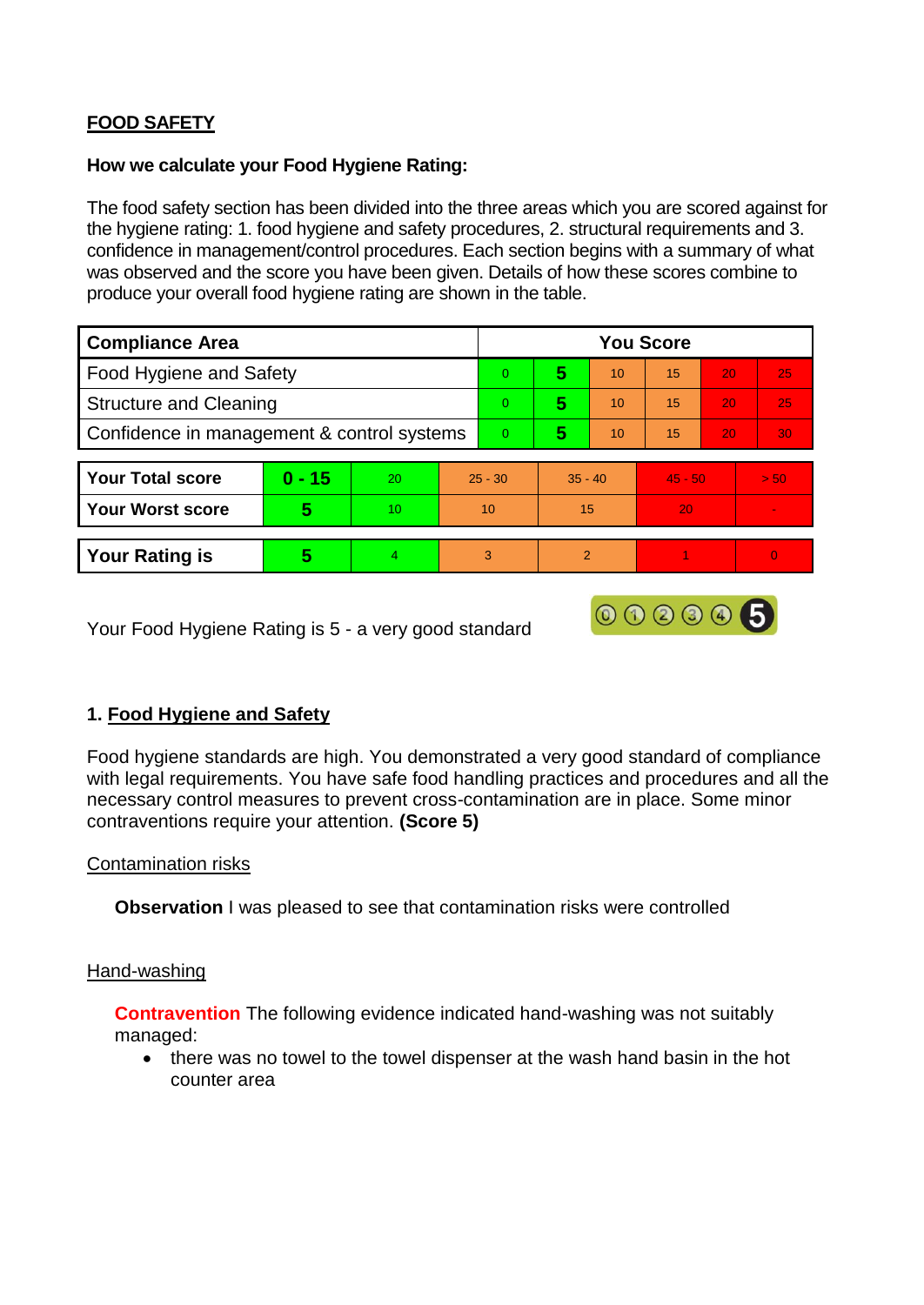# **FOOD SAFETY**

#### **How we calculate your Food Hygiene Rating:**

The food safety section has been divided into the three areas which you are scored against for the hygiene rating: 1. food hygiene and safety procedures, 2. structural requirements and 3. confidence in management/control procedures. Each section begins with a summary of what was observed and the score you have been given. Details of how these scores combine to produce your overall food hygiene rating are shown in the table.

| <b>Compliance Area</b>                     |          |    |                | <b>You Score</b> |                |    |           |    |          |  |  |
|--------------------------------------------|----------|----|----------------|------------------|----------------|----|-----------|----|----------|--|--|
| Food Hygiene and Safety                    |          |    |                | $\Omega$         | 5              | 10 | 15        | 20 | 25       |  |  |
| <b>Structure and Cleaning</b>              |          |    | $\Omega$       | 5                | 10             | 15 | 20        | 25 |          |  |  |
| Confidence in management & control systems |          |    | $\overline{0}$ | 5                | 10             | 15 | 20        | 30 |          |  |  |
|                                            |          |    |                |                  |                |    |           |    |          |  |  |
| <b>Your Total score</b>                    | $0 - 15$ | 20 |                | $25 - 30$        | $35 - 40$      |    | $45 - 50$ |    | > 50     |  |  |
| <b>Your Worst score</b>                    | 5        | 10 |                | 10               | 15             |    | 20        |    |          |  |  |
|                                            |          |    |                |                  |                |    |           |    |          |  |  |
| <b>Your Rating is</b>                      | 5        | 4  | 3              |                  | $\overline{2}$ |    |           |    | $\Omega$ |  |  |

Your Food Hygiene Rating is 5 - a very good standard

## **1. Food Hygiene and Safety**

Food hygiene standards are high. You demonstrated a very good standard of compliance with legal requirements. You have safe food handling practices and procedures and all the necessary control measures to prevent cross-contamination are in place. Some minor contraventions require your attention. **(Score 5)**

000005

### Contamination risks

**Observation** I was pleased to see that contamination risks were controlled

### Hand-washing

**Contravention** The following evidence indicated hand-washing was not suitably managed:

• there was no towel to the towel dispenser at the wash hand basin in the hot counter area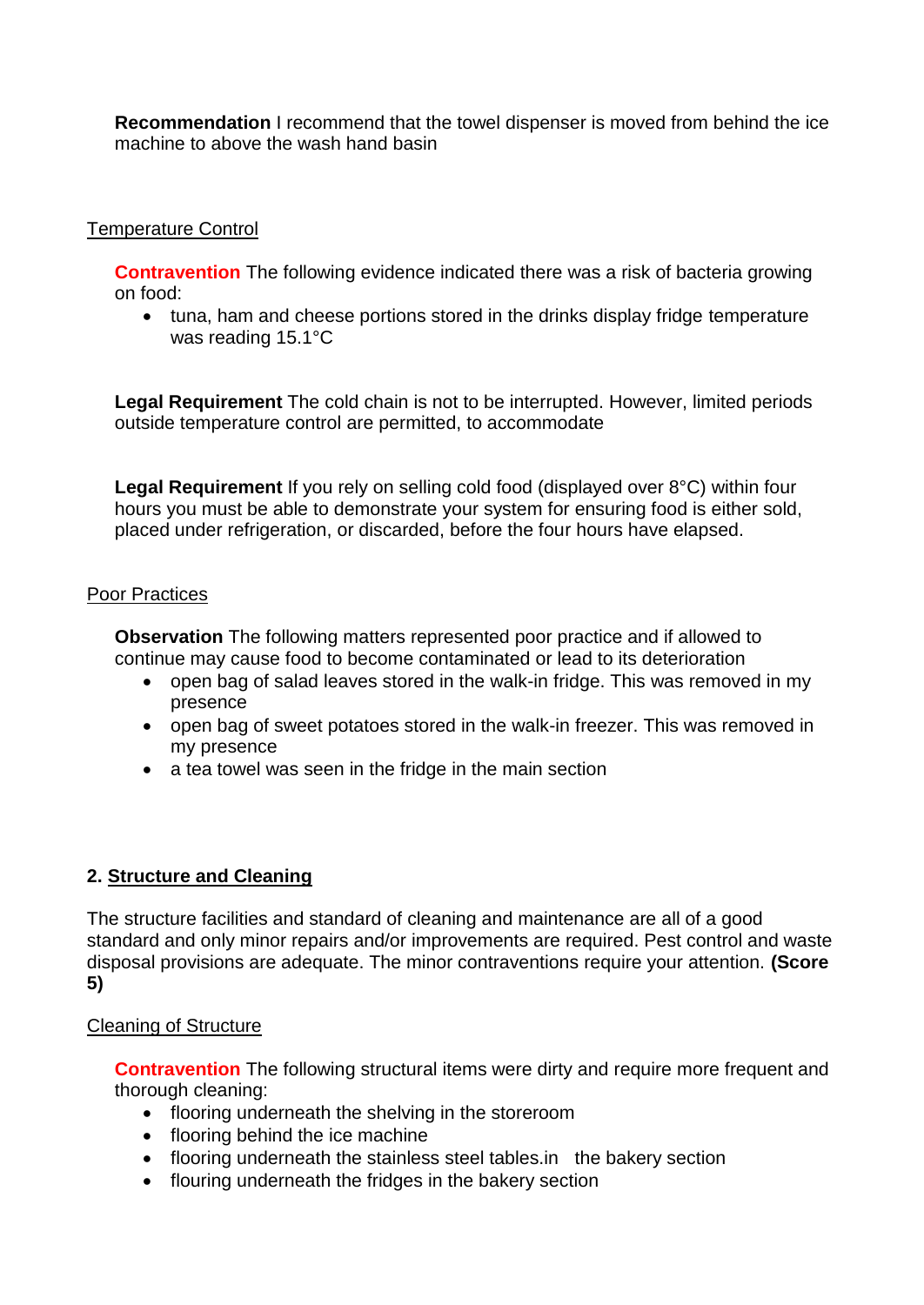**Recommendation** I recommend that the towel dispenser is moved from behind the ice machine to above the wash hand basin

### Temperature Control

**Contravention** The following evidence indicated there was a risk of bacteria growing on food:

• tuna, ham and cheese portions stored in the drinks display fridge temperature was reading 15.1°C

**Legal Requirement** The cold chain is not to be interrupted. However, limited periods outside temperature control are permitted, to accommodate

**Legal Requirement** If you rely on selling cold food (displayed over 8°C) within four hours you must be able to demonstrate your system for ensuring food is either sold, placed under refrigeration, or discarded, before the four hours have elapsed.

### Poor Practices

**Observation** The following matters represented poor practice and if allowed to continue may cause food to become contaminated or lead to its deterioration

- open bag of salad leaves stored in the walk-in fridge. This was removed in my presence
- open bag of sweet potatoes stored in the walk-in freezer. This was removed in my presence
- a tea towel was seen in the fridge in the main section

## **2. Structure and Cleaning**

The structure facilities and standard of cleaning and maintenance are all of a good standard and only minor repairs and/or improvements are required. Pest control and waste disposal provisions are adequate. The minor contraventions require your attention. **(Score 5)**

### Cleaning of Structure

**Contravention** The following structural items were dirty and require more frequent and thorough cleaning:

- flooring underneath the shelving in the storeroom
- flooring behind the ice machine
- flooring underneath the stainless steel tables.in the bakery section
- flouring underneath the fridges in the bakery section